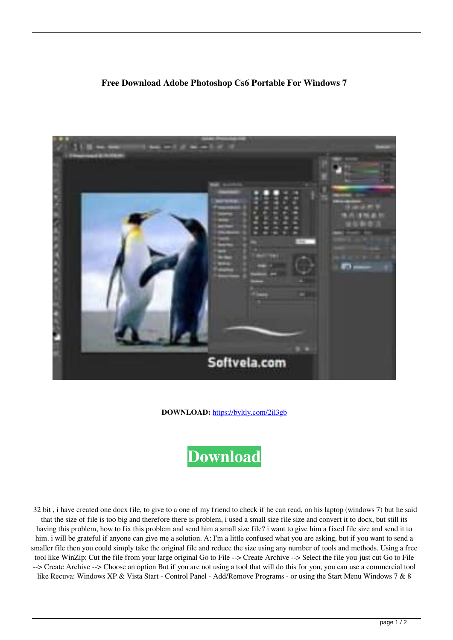## **Free Download Adobe Photoshop Cs6 Portable For Windows 7**



**DOWNLOAD:** <https://byltly.com/2il3gb>



 32 bit , i have created one docx file, to give to a one of my friend to check if he can read, on his laptop (windows 7) but he said that the size of file is too big and therefore there is problem, i used a small size file size and convert it to docx, but still its having this problem, how to fix this problem and send him a small size file? i want to give him a fixed file size and send it to him. i will be grateful if anyone can give me a solution. A: I'm a little confused what you are asking, but if you want to send a smaller file then you could simply take the original file and reduce the size using any number of tools and methods. Using a free tool like WinZip: Cut the file from your large original Go to File --> Create Archive --> Select the file you just cut Go to File --> Create Archive --> Choose an option But if you are not using a tool that will do this for you, you can use a commercial tool like Recuva: Windows XP & Vista Start - Control Panel - Add/Remove Programs - or using the Start Menu Windows 7 & 8